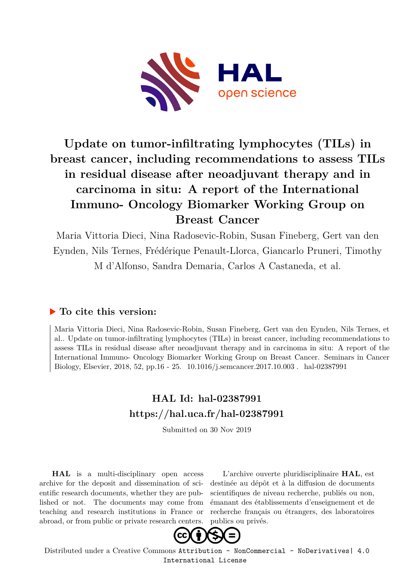

# **Update on tumor-infiltrating lymphocytes (TILs) in breast cancer, including recommendations to assess TILs in residual disease after neoadjuvant therapy and in carcinoma in situ: A report of the International Immuno- Oncology Biomarker Working Group on Breast Cancer**

Maria Vittoria Dieci, Nina Radosevic-Robin, Susan Fineberg, Gert van den Eynden, Nils Ternes, Frédérique Penault-Llorca, Giancarlo Pruneri, Timothy M d'Alfonso, Sandra Demaria, Carlos A Castaneda, et al.

# **To cite this version:**

Maria Vittoria Dieci, Nina Radosevic-Robin, Susan Fineberg, Gert van den Eynden, Nils Ternes, et al.. Update on tumor-infiltrating lymphocytes (TILs) in breast cancer, including recommendations to assess TILs in residual disease after neoadjuvant therapy and in carcinoma in situ: A report of the International Immuno- Oncology Biomarker Working Group on Breast Cancer. Seminars in Cancer Biology, Elsevier, 2018, 52, pp.16 - 25. 10.1016/j.semcancer.2017.10.003. hal-02387991

# **HAL Id: hal-02387991 <https://hal.uca.fr/hal-02387991>**

Submitted on 30 Nov 2019

**HAL** is a multi-disciplinary open access archive for the deposit and dissemination of scientific research documents, whether they are published or not. The documents may come from teaching and research institutions in France or abroad, or from public or private research centers.

L'archive ouverte pluridisciplinaire **HAL**, est destinée au dépôt et à la diffusion de documents scientifiques de niveau recherche, publiés ou non, émanant des établissements d'enseignement et de recherche français ou étrangers, des laboratoires publics ou privés.



Distributed under a Creative Commons [Attribution - NonCommercial - NoDerivatives| 4.0](http://creativecommons.org/licenses/by-nc-nd/4.0/) [International License](http://creativecommons.org/licenses/by-nc-nd/4.0/)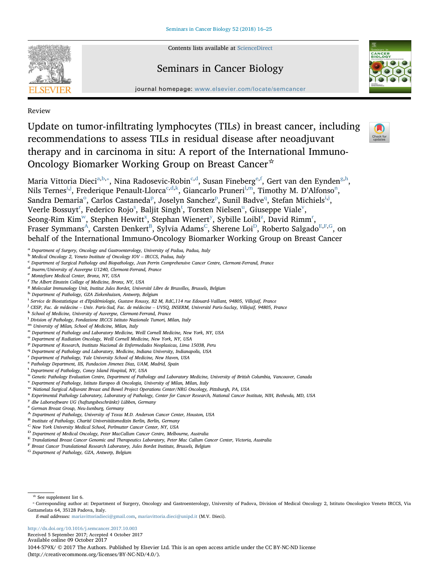Contents lists available at [ScienceDirect](http://www.sciencedirect.com/science/journal/1044579X)

# Seminars in Cancer Biology

journal homepage: [www.elsevier.com/locate/semcancer](https://www.elsevier.com/locate/semcancer)

Review

# Update on tumor-infiltrating lymphocytes (TILs) in breast cancer, including recommendations to assess TILs in residual disease after neoadjuvant therapy and in carcinoma in situ: A report of the International Immuno-Oncology Biomarker Working Group on Breast Cancer☆



**CANCER**<br>BIOLOG

Maria Vittoria Dieci<sup>a,b,</sup>\*, Nina Radosevic-Robin<sup>c,d</sup>, Susan Fineberg<sup>e,f</sup>, Gert van den Eynden<sup>g,h</sup>, Nils Ternes<sup>i,j</sup>, Frederique Penault-Llorca<sup>c,d,k</sup>, Giancarlo Pruneri<sup>l,m</sup>, Timothy M. D'Alfonso<sup>n</sup>, Sandra Demaria<sup>o</sup>, Carlos Castaneda<sup>p</sup>, Joselyn Sanchez<sup>p</sup>, Sunil Badve<sup>q</sup>, Stefan Michiels<sup>i, j</sup>, Veerle Bossuyt", Federico Rojo $^{\rm s}$ , Baljit Singh<sup>t</sup>, Torsten Nielsen<sup>u</sup>, Giuseppe Viale<sup>v</sup>, Seong-Rim Kim<sup>w</sup>, Stephen Hewitt<sup>x</sup>, Stephan Wienert<sup>y</sup>, Sybille Loibl<sup>z</sup>, David Rimm<sup>r</sup>, Fraser Symmans<sup>A</sup>, Carsten Denkert<sup>B</sup>, Sylvia Adams<sup>C</sup>, Sherene Loi<sup>D</sup>, Roberto Salgado<sup>E,F,G</sup>, on behalf of the International Immuno-Oncology Biomarker Working Group on Breast Cancer

<sup>a</sup> Department of Surgery, Oncology and Gastroenterology, University of Padua, Italy by Medical Oncology 2, Veneto Institute of Oncology IOV – IRCCS, Padua, Italy

- $\text{c}$  Department of Surgical Pathology and Biopathology, Jean Perrin Comprehensive Cancer Centre, Clermont-Ferrand, France<br> $\text{d}$  Inserm/University of Auvergne U1240, Clermont-Ferrand, France
- 
- 
- $^{\rm e}$ Montefiore Medical Center, Bronx, NY, USA f The Albert Einstein College of Medicine, Bronx, NY, USA
- <sup>g</sup> Molecular Immunology Unit, Institut Jules Bordet, Université Libre de Bruxelles, Brussels, Belgium
- h Department of Pathology, GZA Ziekenhuizen, Antwerp, Belgium
- <sup>i</sup> Service de Biostatistique et d'Epidémiologie, Gustave Roussy, B2 M, RdC,114 rue Edouard-Vaillant, 94805, Villejuif, France
- <sup>j</sup> CESP, Fac. de médecine Univ. Paris-Sud, Fac. de médecine UVSQ, INSERM, Université Paris-Saclay, Villejuif, 94805, France<br><sup>k</sup> School of Medicine, University of Auvergne, Clermont-Ferrand, France
- 
- <sup>1</sup> Division of Pathology, Fondazione IRCCS Istituto Nazionale Tumori, Milan, Italy
- 
- <sup>m</sup> University of Milan, School of Medicine, Milan, Italy<br><sup>n</sup> Department of Pathology and Laboratory Medicine, Weill Cornell Medicine, New York, NY, USA<br><sup>o</sup> Department of Radiation Oncology, Weill Cornell Medicine, New Yor
- 
- P Department of Research, Instituto Nacional de Enfermedades Neoplasicas, Lima 15038, Peru q Department of Pathology and Laboratory, Medicine, Indiana University, Indianapolis, USA
- 
- <sup>r</sup> Department of Pathology, Yale University School of Medicine, New Haven, USA
- <sup>s</sup> Pathology Department, IIS, Fundacion Jimenez Diaz, UAM, Madrid, Spain
- <sup>t</sup> Department of Pathology, Coney Island Hospital, NY, USA
- <sup>u</sup> Genetic Pathology Evaluation Centre, Department of Pathology and Laboratory Medicine, University of British Columbia, Vancouver, Canada
- 
- $\rm{v}$  Department of Pathology, Istituto Europeo di Oncologia, University of Milan, Milan, Italy<br> $\rm{w}$  National Surgical Adjuvant Breast and Bowel Project Operations Center/NRG Oncology, Pittsburgh, PA, USA
- x Experimental Pathology Laboratory, Laboratory of Pathology, Center for Cancer Research, National Cancer Institute, NIH, Bethesda, MD, USA
- <sup>y</sup> dlw Laborsoftware UG (haftungsbeschränkt) Lübben, Germany
- 
- $^{\rm z}$  German Breast Group, Neu-Isenburg, Germany<br>A Department of Pathology, University of Texas M.D. Anderson Cancer Center, Houston, USA
- 
- 
- 
- $^{\rm B}$ Institute of Pathology, Charité Universitätsmedizin Berlin, Berlin, Germany<br>C<br/> New York University Medical School, Perlmutter Cancer Center, NY, USA<br><br/> $^{\rm D}$  Department of Medical Oncology, Peter MacCallum
- 
- <sup>G</sup> Department of Pathology, GZA, Antwerp, Belgium

E-mail addresses: [mariavittoriadieci@gmail.com](mailto:mariavittoriadieci@gmail.com), [mariavittoria.dieci@unipd.it](mailto:mariavittoria.dieci@unipd.it) (M.V. Dieci).

<http://dx.doi.org/10.1016/j.semcancer.2017.10.003> Received 5 September 2017; Accepted 4 October 2017 Available online 09 October 2017

<sup>\*</sup> See supplement list 6.<br>\* Corresponding author at: Department of Surgery, Oncology and Gastroenterology, University of Padova, Division of Medical Oncology 2, Istituto Oncologico Veneto IRCCS, Via Gattamelata 64, 35128 Padova, Italy.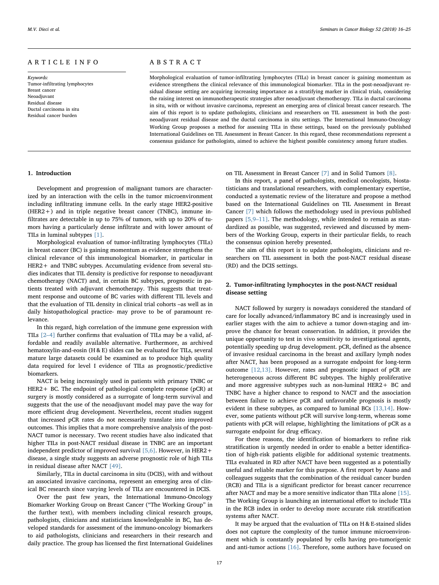## ARTICLE INFO

Keywords: Tumor-infiltrating lymphocytes Breast cancer Neoadjuvant Residual disease Ductal carcinoma in situ Residual cancer burden

# ABSTRACT

Morphological evaluation of tumor-infiltrating lymphocytes (TILs) in breast cancer is gaining momentum as evidence strengthens the clinical relevance of this immunological biomarker. TILs in the post-neoadjuvant residual disease setting are acquiring increasing importance as a stratifying marker in clinical trials, considering the raising interest on immunotherapeutic strategies after neoadjuvant chemotherapy. TILs in ductal carcinoma in situ, with or without invasive carcinoma, represent an emerging area of clinical breast cancer research. The aim of this report is to update pathologists, clinicians and researchers on TIL assessment in both the postneoadjuvant residual disease and the ductal carcinoma in situ settings. The International Immuno-Oncology Working Group proposes a method for assessing TILs in these settings, based on the previously published International Guidelines on TIL Assessment in Breast Cancer. In this regard, these recommendations represent a consensus guidance for pathologists, aimed to achieve the highest possible consistency among future studies.

#### 1. Introduction

Development and progression of malignant tumors are characterized by an interaction with the cells in the tumor microenvironment including infiltrating immune cells. In the early stage HER2-positive (HER2+) and in triple negative breast cancer (TNBC), immune infiltrates are detectable in up to 75% of tumors, with up to 20% of tumors having a particularly dense infiltrate and with lower amount of TILs in luminal subtypes [1].

Morphological evaluation of tumor-infiltrating lymphocytes (TILs) in breast cancer (BC) is gaining momentum as evidence strengthens the clinical relevance of this immunological biomarker, in particular in HER2+ and TNBC subtypes. Accumulating evidence from several studies indicates that TIL density is predictive for response to neoadjuvant chemotherapy (NACT) and, in certain BC subtypes, prognostic in patients treated with adjuvant chemotherapy. This suggests that treatment response and outcome of BC varies with different TIL levels and that the evaluation of TIL density in clinical trial cohorts –as well as in daily histopathological practice- may prove to be of paramount relevance.

In this regard, high correlation of the immune gene expression with TILs [2–4] further confirms that evaluation of TILs may be a valid, affordable and readily available alternative. Furthermore, as archived hematoxylin-and-eosin (H & E) slides can be evaluated for TILs, several mature large datasets could be examined as to produce high quality data required for level I evidence of TILs as prognostic/predictive biomarkers.

NACT is being increasingly used in patients with primary TNBC or HER2+ BC. The endpoint of pathological complete response (pCR) at surgery is mostly considered as a surrogate of long-term survival and suggests that the use of the neoadjuvant model may pave the way for more efficient drug development. Nevertheless, recent studies suggest that increased pCR rates do not necessarily translate into improved outcomes. This implies that a more comprehensive analysis of the post-NACT tumor is necessary. Two recent studies have also indicated that higher TILs in post-NACT residual disease in TNBC are an important independent predictor of improved survival [5,6]. However, in HER2+ disease, a single study suggests an adverse prognostic role of high TILs in residual disease after NACT [49].

Similarly, TILs in ductal carcinoma in situ (DCIS), with and without an associated invasive carcinoma, represent an emerging area of clinical BC research since varying levels of TILs are encountered in DCIS.

Over the past few years, the International Immuno-Oncology Biomarker Working Group on Breast Cancer ("The Working Group" in the further text), with members including clinical research groups, pathologists, clinicians and statisticians knowledgeable in BC, has developed standards for assessment of the immuno-oncology biomarkers to aid pathologists, clinicians and researchers in their research and daily practice. The group has licensed the first International Guidelines

on TIL Assessment in Breast Cancer [7] and in Solid Tumors [8].

In this report, a panel of pathologists, medical oncologists, biostatisticians and translational researchers, with complementary expertise, conducted a systematic review of the literature and propose a method based on the International Guidelines on TIL Assessment in Breast Cancer [7] which follows the methodology used in previous published papers [5,9–11]. The methodology, while intended to remain as standardized as possible, was suggested, reviewed and discussed by members of the Working Group, experts in their particular fields, to reach the consensus opinion hereby presented.

The aim of this report is to update pathologists, clinicians and researchers on TIL assessment in both the post-NACT residual disease (RD) and the DCIS settings.

# 2. Tumor-infiltrating lymphocytes in the post-NACT residual disease setting

NACT followed by surgery is nowadays considered the standard of care for locally advanced/inflammatory BC and is increasingly used in earlier stages with the aim to achieve a tumor down-staging and improve the chance for breast conservation. In addition, it provides the unique opportunity to test in vivo sensitivity to investigational agents, potentially speeding up drug development. pCR, defined as the absence of invasive residual carcinoma in the breast and axillary lymph nodes after NACT, has been proposed as a surrogate endpoint for long-term outcome [12,13]. However, rates and prognostic impact of pCR are heterogeneous across different BC subtypes. The highly proliferative and more aggressive subtypes such as non-luminal HER2+ BC and TNBC have a higher chance to respond to NACT and the association between failure to achieve pCR and unfavorable prognosis is mostly evident in these subtypes, as compared to luminal BCs [13,14]. However, some patients without pCR will survive long-term, whereas some patients with pCR will relapse, highlighting the limitations of pCR as a surrogate endpoint for drug efficacy.

For these reasons, the identification of biomarkers to refine risk stratification is urgently needed in order to enable a better identification of high-risk patients eligible for additional systemic treatments. TILs evaluated in RD after NACT have been suggested as a potentially useful and reliable marker for this purpose. A first report by Asano and colleagues suggests that the combination of the residual cancer burden (RCB) and TILs is a significant predictor for breast cancer recurrence after NACT and may be a more sensitive indicator than TILs alone [15]. The Working Group is launching an international effort to include TILs in the RCB index in order to develop more accurate risk stratification systems after NACT.

It may be argued that the evaluation of TILs on H & E-stained slides does not capture the complexity of the tumor immune microenvironment which is constantly populated by cells having pro-tumorigenic and anti-tumor actions [16]. Therefore, some authors have focused on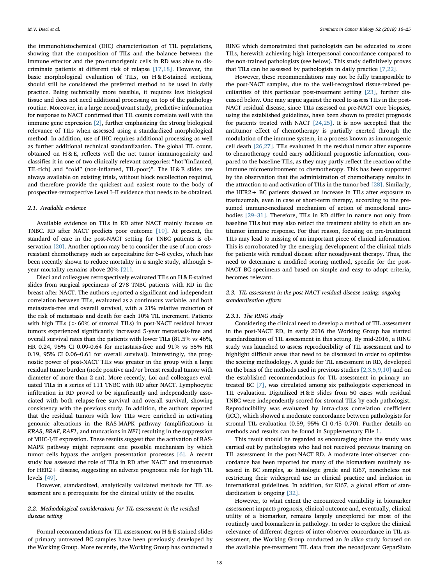the immunohistochemical (IHC) characterization of TIL populations, showing that the composition of TILs and the balance between the immune effector and the pro-tumorigenic cells in RD was able to discriminate patients at different risk of relapse [17,18]. However, the basic morphological evaluation of TILs, on H & E-stained sections, should still be considered the preferred method to be used in daily practice. Being technically more feasible, it requires less biological tissue and does not need additional processing on top of the pathology routine. Moreover, in a large neoadjuvant study, predictive information for response to NACT confirmed that TIL counts correlate well with the immune gene expression [2], further emphasizing the strong biological relevance of TILs when assessed using a standardized morphological method. In addition, use of IHC requires additional processing as well as further additional technical standardization. The global TIL count, obtained on H & E, reflects well the net tumor immunogenicity and classifies it in one of two clinically relevant categories: "hot"(inflamed, TIL-rich) and "cold" (non-inflamed, TIL-poor)". The H & E slides are always available on existing trials, without block recollection required, and therefore provide the quickest and easiest route to the body of prospective-retrospective Level I–II evidence that needs to be obtained.

#### 2.1. Available evidence

Available evidence on TILs in RD after NACT mainly focuses on TNBC. RD after NACT predicts poor outcome [19]. At present, the standard of care in the post-NACT setting for TNBC patients is observation [20]. Another option may be to consider the use of non-crossresistant chemotherapy such as capecitabine for 6–8 cycles, which has been recently shown to reduce mortality in a single study, although 5 year mortality remains above 20% [21].

Dieci and colleagues retrospectively evaluated TILs on H & E-stained slides from surgical specimens of 278 TNBC patients with RD in the breast after NACT. The authors reported a significant and independent correlation between TILs, evaluated as a continuous variable, and both metastasis-free and overall survival, with a 21% relative reduction of the risk of metastasis and death for each 10% TIL increment. Patients with high TILs (> 60% of stromal TILs) in post-NACT residual breast tumors experienced significantly increased 5-year metastasis-free and overall survival rates than the patients with lower TILs (81.5% vs 46%, HR 0.24, 95% CI 0.09-0.64 for metastasis-free and 91% vs 55% HR 0.19, 95% CI 0.06–0.61 for overall survival). Interestingly, the prognostic power of post-NACT TILs was greater in the group with a large residual tumor burden (node positive and/or breast residual tumor with diameter of more than 2 cm). More recently, Loi and colleagues evaluated TILs in a series of 111 TNBC with RD after NACT. Lymphocytic infiltration in RD proved to be significantly and independently associated with both relapse-free survival and overall survival, showing consistency with the previous study. In addition, the authors reported that the residual tumors with low TILs were enriched in activating genomic alterations in the RAS-MAPK pathway (amplifications in KRAS, BRAF, RAF1, and truncations in NF1) resulting in the suppression of MHC-I/II expression. These results suggest that the activation of RAS-MAPK pathway might represent one possible mechanism by which tumor cells bypass the antigen presentation processes [6]. A recent study has assessed the role of TILs in RD after NACT and trastuzumab for HER2+ disease, suggesting an adverse prognostic role for high TIL levels [49].

However, standardized, analytically validated methods for TIL assessment are a prerequisite for the clinical utility of the results.

## 2.2. Methodological considerations for TIL assessment in the residual disease setting

Formal recommendations for TIL assessment on H & E-stained slides of primary untreated BC samples have been previously developed by the Working Group. More recently, the Working Group has conducted a

RING which demonstrated that pathologists can be educated to score TILs, herewith achieving high interpersonal concordance compared to the non-trained pathologists (see below). This study definitively proves that TILs can be assessed by pathologists in daily practice [7,22].

However, these recommendations may not be fully transposable to the post-NACT samples, due to the well-recognized tissue-related peculiarities of this particular post-treatment setting [23], further discussed below. One may argue against the need to assess TILs in the post-NACT residual disease, since TILs assessed on pre-NACT core biopsies, using the established guidelines, have been shown to predict prognosis for patients treated with NACT [24,25]. It is now accepted that the antitumor effect of chemotherapy is partially exerted through the modulation of the immune system, in a process known as immunogenic cell death [26,27]. TILs evaluated in the residual tumor after exposure to chemotherapy could carry additional prognostic information, compared to the baseline TILs, as they may partly reflect the reaction of the immune microenvironment to chemotherapy. This has been supported by the observation that the administration of chemotherapy results in the attraction to and activation of TILs in the tumor bed [28]. Similarly, the HER2+ BC patients showed an increase in TILs after exposure to trastuzumab, even in case of short-term therapy, according to the presumed immune-mediated mechanism of action of monoclonal antibodies [29–31]. Therefore, TILs in RD differ in nature not only from baseline TILs but may also reflect the treatment ability to elicit an antitumor immune response. For that reason, focusing on pre-treatment TILs may lead to missing of an important piece of clinical information. This is corroborated by the emerging development of the clinical trials for patients with residual disease after neoadjuvant therapy. Thus, the need to determine a modified scoring method, specific for the post-NACT BC specimens and based on simple and easy to adopt criteria, becomes relevant.

# 2.3. TIL assessment in the post-NACT residual disease setting: ongoing standardization efforts

#### 2.3.1. The RING study

Considering the clinical need to develop a method of TIL assessment in the post-NACT RD, in early 2016 the Working Group has started standardization of TIL assessment in this setting. By mid-2016, a RING study was launched to assess reproducibility of TIL assessment and to highlight difficult areas that need to be discussed in order to optimize the scoring methodology. A guide for TIL assessment in RD, developed on the basis of the methods used in previous studies  $[2,3,5,9,10]$  and on the established recommendations for TIL assessment in primary untreated BC [7], was circulated among six pathologists experienced in TIL evaluation. Digitalized H&E slides from 50 cases with residual TNBC were independently scored for stromal TILs by each pathologist. Reproducibility was evaluated by intra-class correlation coefficient (ICC), which showed a moderate concordance between pathologists for stromal TIL evaluation (0.59, 95% CI 0.45–0.70). Further details on methods and results can be found in Supplementary File 1.

This result should be regarded as encouraging since the study was carried out by pathologists who had not received previous training on TIL assessment in the post-NACT RD. A moderate inter-observer concordance has been reported for many of the biomarkers routinely assessed in BC samples, as histologic grade and Ki67, nonetheless not restricting their widespread use in clinical practice and inclusion in international guidelines. In addition, for Ki67, a global effort of standardization is ongoing [32].

However, to what extent the encountered variability in biomarker assessment impacts prognosis, clinical outcome and, eventually, clinical utility of a biomarker, remains largely unexplored for most of the routinely used biomarkers in pathology. In order to explore the clinical relevance of different degrees of inter-observer concordance in TIL assessment, the Working Group conducted an in silico study focused on the available pre-treatment TIL data from the neoadjuvant GeparSixto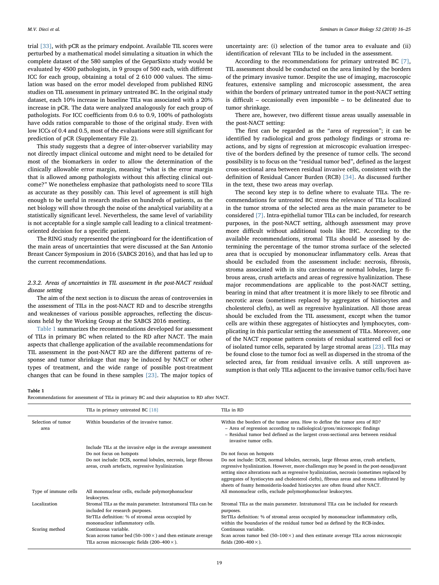trial [33], with pCR as the primary endpoint. Available TIL scores were perturbed by a mathematical model simulating a situation in which the complete dataset of the 580 samples of the GeparSixto study would be evaluated by 4500 pathologists, in 9 groups of 500 each, with different ICC for each group, obtaining a total of 2 610 000 values. The simulation was based on the error model developed from published RING studies on TIL assessment in primary untreated BC. In the original study dataset, each 10% increase in baseline TILs was associated with a 20% increase in pCR. The data were analyzed analogously for each group of pathologists. For ICC coefficients from 0.6 to 0.9, 100% of pathologists have odds ratios comparable to those of the original study. Even with low ICCs of 0.4 and 0.5, most of the evaluations were still significant for prediction of pCR (Supplementary File 2).

This study suggests that a degree of inter-observer variability may not directly impact clinical outcome and might need to be detailed for most of the biomarkers in order to allow the determination of the clinically allowable error margin, meaning "what is the error margin that is allowed among pathologists without this affecting clinical outcome?" We nonetheless emphasize that pathologists need to score TILs as accurate as they possibly can. This level of agreement is still high enough to be useful in research studies on hundreds of patients, as the net biology will show through the noise of the analytical variability at a statistically significant level. Nevertheless, the same level of variability is not acceptable for a single sample call leading to a clinical treatmentoriented decision for a specific patient.

The RING study represented the springboard for the identification of the main areas of uncertainties that were discussed at the San Antonio Breast Cancer Symposium in 2016 (SABCS 2016), and that has led up to the current recommendations.

# 2.3.2. Areas of uncertainties in TIL assessment in the post-NACT residual disease setting

The aim of the next section is to discuss the areas of controversies in the assessment of TILs in the post-NACT RD and to describe strengths and weaknesses of various possible approaches, reflecting the discussions held by the Working Group at the SABCS 2016 meeting.

Table 1 summarizes the recommendations developed for assessment of TILs in primary BC when related to the RD after NACT. The main aspects that challenge application of the available recommendations for TIL assessment in the post-NACT RD are the different patterns of response and tumor shrinkage that may be induced by NACT or other types of treatment, and the wide range of possible post-treatment changes that can be found in these samples [23]. The major topics of

uncertainty are: (i) selection of the tumor area to evaluate and (ii) identification of relevant TILs to be included in the assessment.

According to the recommendations for primary untreated BC [7], TIL assessment should be conducted on the area limited by the borders of the primary invasive tumor. Despite the use of imaging, macroscopic features, extensive sampling and microscopic assessment, the area within the borders of primary untreated tumor in the post-NACT setting is difficult – occasionally even impossible – to be delineated due to tumor shrinkage.

There are, however, two different tissue areas usually assessable in the post-NACT setting:

The first can be regarded as the "area of regression"; it can be identified by radiological and gross pathology findings or stroma reactions, and by signs of regression at microscopic evaluation irrespective of the borders defined by the presence of tumor cells. The second possibility is to focus on the "residual tumor bed", defined as the largest cross-sectional area between residual invasive cells, consistent with the definition of Residual Cancer Burden (RCB) [34]. As discussed further in the text, these two areas may overlap.

The second key step is to define where to evaluate TILs. The recommendations for untreated BC stress the relevance of TILs localized in the tumor stroma of the selected area as the main parameter to be considered [7]. Intra-epithelial tumor TILs can be included, for research purposes, in the post-NACT setting, although assessment may prove more difficult without additional tools like IHC. According to the available recommendations, stromal TILs should be assessed by determining the percentage of the tumor stroma surface of the selected area that is occupied by mononuclear inflammatory cells. Areas that should be excluded from the assessment include: necrosis, fibrosis, stroma associated with in situ carcinoma or normal lobules, large fibrous areas, crush artefacts and areas of regressive hyalinization. These major recommendations are applicable to the post-NACT setting, bearing in mind that after treatment it is more likely to see fibrotic and necrotic areas (sometimes replaced by aggregates of histiocytes and cholesterol clefts), as well as regressive hyalinization. All those areas should be excluded from the TIL assessment, except when the tumor cells are within these aggregates of histiocytes and lymphocytes, complicating in this particular setting the assessment of TILs. Moreover, one of the NACT response pattern consists of residual scattered cell foci or of isolated tumor cells, separated by large stromal areas [23]. TILs may be found close to the tumor foci as well as dispersed in the stroma of the selected area, far from residual invasive cells. A still unproven assumption is that only TILs adjacent to the invasive tumor cells/foci have

#### Table 1

Recommendations for assessment of TILs in primary BC and their adaptation to RD after NACT.

|                            | TILs in primary untreated BC [18]                                                                                         | TILs in RD                                                                                                                                                                                                                                                                                                                                                                                                                                                  |
|----------------------------|---------------------------------------------------------------------------------------------------------------------------|-------------------------------------------------------------------------------------------------------------------------------------------------------------------------------------------------------------------------------------------------------------------------------------------------------------------------------------------------------------------------------------------------------------------------------------------------------------|
| Selection of tumor<br>area | Within boundaries of the invasive tumor.                                                                                  | Within the borders of the tumor area. How to define the tumor area of RD?<br>- Area of regression according to radiological/gross/microscopic findings<br>- Residual tumor bed defined as the largest cross-sectional area between residual<br>invasive tumor cells                                                                                                                                                                                         |
|                            | Include TILs at the invasive edge in the average assessment                                                               |                                                                                                                                                                                                                                                                                                                                                                                                                                                             |
|                            | Do not focus on hotspots                                                                                                  | Do not focus on hotspots                                                                                                                                                                                                                                                                                                                                                                                                                                    |
|                            | Do not include: DCIS, normal lobules, necrosis, large fibrous<br>areas, crush artefacts, regressive hyalinization         | Do not include: DCIS, normal lobules, necrosis, large fibrous areas, crush artefacts,<br>regressive hyalinization. However, more challenges may be posed in the post-neoadjuvant<br>setting since alterations such as regressive hyalinization, necrosis (sometimes replaced by<br>aggregates of hystiocytes and cholesterol clefts), fibrous areas and stroma infiltrated by<br>sheets of foamy hemosiderin-loaded histiocytes are often found after NACT. |
| Type of immune cells       | All mononuclear cells, exclude polymorphonuclear<br>leukocytes.                                                           | All mononuclear cells, exclude polymorphonuclear leukocytes.                                                                                                                                                                                                                                                                                                                                                                                                |
| Localization               | Stromal TILs as the main parameter. Intratumoral TILs can be<br>included for research purposes.                           | Stromal TILs as the main parameter. Intratumoral TILs can be included for research<br>purposes.                                                                                                                                                                                                                                                                                                                                                             |
| Scoring method             | StrTILs definition: % of stromal areas occupied by<br>mononuclear inflammatory cells.<br>Continuous variable.             | StrTILs definition: % of stromal areas occupied by mononuclear inflammatory cells,<br>within the boundaries of the residual tumor bed as defined by the RCB-index.<br>Continuous variable.                                                                                                                                                                                                                                                                  |
|                            | Scan across tumor bed (50–100 $\times$ ) and then estimate average<br>TILs across microscopic fields $(200-400 \times)$ . | Scan across tumor bed $(50-100 \times)$ and then estimate average TILs across microscopic<br>fields $(200-400 \times)$ .                                                                                                                                                                                                                                                                                                                                    |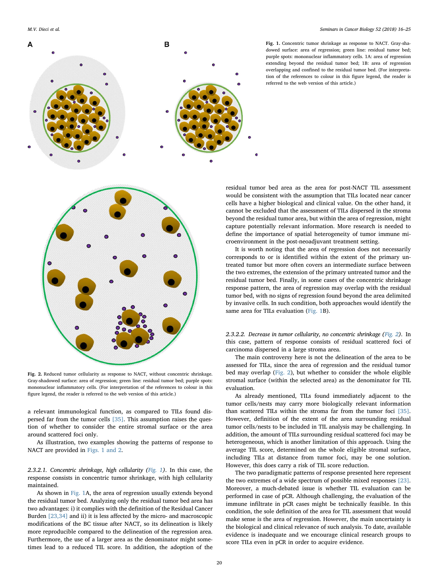

Fig. 1. Concentric tumor shrinkage as response to NACT. Gray-shadowed surface: area of regression; green line: residual tumor bed; purple spots: mononuclear inflammatory cells. 1A: area of regression extending beyond the residual tumor bed; 1B: area of regression overlapping and confined to the residual tumor bed. (For interpretation of the references to colour in this figure legend, the reader is referred to the web version of this article.)



Fig. 2. Reduced tumor cellularity as response to NACT, without concentric shrinkage. Gray-shadowed surface: area of regression; green line: residual tumor bed; purple spots: mononuclear inflammatory cells. (For interpretation of the references to colour in this figure legend, the reader is referred to the web version of this article.)

a relevant immunological function, as compared to TILs found dispersed far from the tumor cells [35]. This assumption raises the question of whether to consider the entire stromal surface or the area around scattered foci only.

As illustration, two examples showing the patterns of response to NACT are provided in Figs. 1 and 2.

2.3.2.1. Concentric shrinkage, high cellularity (Fig. 1). In this case, the response consists in concentric tumor shrinkage, with high cellularity maintained.

As shown in Fig. 1A, the area of regression usually extends beyond the residual tumor bed. Analyzing only the residual tumor bed area has two advantages: i) it complies with the definition of the Residual Cancer Burden [23,34] and ii) it is less affected by the micro- and macroscopic modifications of the BC tissue after NACT, so its delineation is likely more reproducible compared to the delineation of the regression area. Furthermore, the use of a larger area as the denominator might sometimes lead to a reduced TIL score. In addition, the adoption of the

residual tumor bed area as the area for post-NACT TIL assessment would be consistent with the assumption that TILs located near cancer cells have a higher biological and clinical value. On the other hand, it cannot be excluded that the assessment of TILs dispersed in the stroma beyond the residual tumor area, but within the area of regression, might capture potentially relevant information. More research is needed to define the importance of spatial heterogeneity of tumor immune microenvironment in the post-neoadjuvant treatment setting.

It is worth noting that the area of regression does not necessarily corresponds to or is identified within the extent of the primary untreated tumor but more often covers an intermediate surface between the two extremes, the extension of the primary untreated tumor and the residual tumor bed. Finally, in some cases of the concentric shrinkage response pattern, the area of regression may overlap with the residual tumor bed, with no signs of regression found beyond the area delimited by invasive cells. In such condition, both approaches would identify the same area for TILs evaluation (Fig. 1B).

2.3.2.2. Decrease in tumor cellularity, no concentric shrinkage (Fig. 2). In this case, pattern of response consists of residual scattered foci of carcinoma dispersed in a large stroma area.

The main controversy here is not the delineation of the area to be assessed for TILs, since the area of regression and the residual tumor bed may overlap (Fig. 2), but whether to consider the whole eligible stromal surface (within the selected area) as the denominator for TIL evaluation.

As already mentioned, TILs found immediately adjacent to the tumor cells/nests may carry more biologically relevant information than scattered TILs within the stroma far from the tumor foci [35]. However, definition of the extent of the area surrounding residual tumor cells/nests to be included in TIL analysis may be challenging. In addition, the amount of TILs surrounding residual scattered foci may be heterogeneous, which is another limitation of this approach. Using the average TIL score, determined on the whole eligible stromal surface, including TILs at distance from tumor foci, may be one solution. However, this does carry a risk of TIL score reduction.

The two paradigmatic patterns of response presented here represent the two extremes of a wide spectrum of possible mixed responses [23]. Moreover, a much-debated issue is whether TIL evaluation can be performed in case of pCR. Although challenging, the evaluation of the immune infiltrate in pCR cases might be technically feasible. In this condition, the sole definition of the area for TIL assessment that would make sense is the area of regression. However, the main uncertainty is the biological and clinical relevance of such analysis. To date, available evidence is inadequate and we encourage clinical research groups to score TILs even in pCR in order to acquire evidence.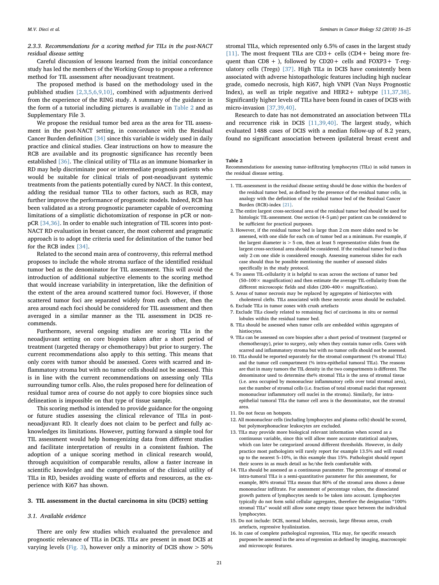### 2.3.3. Recommendations for a scoring method for TILs in the post-NACT residual disease setting

Careful discussion of lessons learned from the initial concordance study has led the members of the Working Group to propose a reference method for TIL assessment after neoadjuvant treatment.

The proposed method is based on the methodology used in the published studies [2,3,5,6,9,10], combined with adjustments derived from the experience of the RING study. A summary of the guidance in the form of a tutorial including pictures is available in Table 2 and as Supplementary File 3.

We propose the residual tumor bed area as the area for TIL assessment in the post-NACT setting, in concordance with the Residual Cancer Burden definition [34] since this variable is widely used in daily practice and clinical studies. Clear instructions on how to measure the RCB are available and its prognostic significance has recently been established [36]. The clinical utility of TILs as an immune biomarker in RD may help discriminate poor or intermediate prognosis patients who would be suitable for clinical trials of post-neoadjuvant systemic treatments from the patients potentially cured by NACT. In this context, adding the residual tumor TILs to other factors, such as RCB, may further improve the performance of prognostic models. Indeed, RCB has been validated as a strong prognostic parameter capable of overcoming limitations of a simplistic dichotomization of response in pCR or nonpCR [34,36]. In order to enable such integration of TIL scores into post-NACT RD evaluation in breast cancer, the most coherent and pragmatic approach is to adopt the criteria used for delimitation of the tumor bed for the RCB index [34].

Related to the second main area of controversy, this referral method proposes to include the whole stroma surface of the identified residual tumor bed as the denominator for TIL assessment. This will avoid the introduction of additional subjective elements to the scoring method that would increase variability in interpretation, like the definition of the extent of the area around scattered tumor foci. However, if those scattered tumor foci are separated widely from each other, then the area around each foci should be considered for TIL assessment and then averaged in a similar manner as the TIL assessment in DCIS recommends.

Furthermore, several ongoing studies are scoring TILs in the neoadjuvant setting on core biopsies taken after a short period of treatment (targeted therapy or chemotherapy) but prior to surgery. The current recommendations also apply to this setting. This means that only cores with tumor should be assessed. Cores with scarred and inflammatory stroma but with no tumor cells should not be assessed. This is in line with the current recommendations on assessing only TILs surrounding tumor cells. Also, the rules proposed here for delineation of residual tumor area of course do not apply to core biopsies since such delineation is impossible on that type of tissue sample.

This scoring method is intended to provide guidance for the ongoing or future studies assessing the clinical relevance of TILs in postneoadjuvant RD. It clearly does not claim to be perfect and fully acknowledges its limitations. However, putting forward a simple tool for TIL assessment would help homogenizing data from different studies and facilitate interpretation of results in a consistent fashion. The adoption of a unique scoring method in clinical research would, through acquisition of comparable results, allow a faster increase in scientific knowledge and the comprehension of the clinical utility of TILs in RD, besides avoiding waste of efforts and resources, as the experience with Ki67 has shown.

## 3. TIL assessment in the ductal carcinoma in situ (DCIS) setting

#### 3.1. Available evidence

There are only few studies which evaluated the prevalence and prognostic relevance of TILs in DCIS. TILs are present in most DCIS at varying levels (Fig. 3), however only a minority of DCIS show  $> 50\%$ 

stromal TILs, which represented only 6.5% of cases in the largest study [11]. The most frequent TILs are  $CD3 +$  cells  $(CD4 +$  being more frequent than  $CD8 +$ ), followed by  $CD20 +$  cells and  $FOXP3 +$  T-regulatory cells (Tregs) [37]. High TILs in DCIS have consistently been associated with adverse histopathologic features including high nuclear grade, comedo necrosis, high Ki67, high VNPI (Van Nuys Prognostic Index), as well as triple negative and HER2+ subtype [11,37,38]. Significantly higher levels of TILs have been found in cases of DCIS with micro-invasion [37,39,40].

Research to date has not demonstrated an association between TILs and recurrence risk in DCIS [11,39,40]. The largest study, which evaluated 1488 cases of DCIS with a median follow-up of 8.2 years, found no significant association between ipsilateral breast event and

#### Table 2

Recommendations for assessing tumor-infiltrating lymphocytes (TILs) in solid tumors in the residual disease setting.

- 1. TIL-assessment in the residual disease setting should be done within the borders of the residual tumor bed, as defined by the presence of the residual tumor cells, in analogy with the definition of the residual tumor bed of the Residual Cancer Burden (RCB)-index [21].
- 2. The entire largest cross-sectional area of the residual tumor bed should be used for histologic TIL-assessment. One section (4–5 μm) per patient can be considered to be sufficient for practical purposes.
- 3. However, if the residual tumor bed is large than 2 cm more slides need to be assessed, with one slide for each cm of tumor bed as a minimum. For example, if the largest diameter is > 5 cm, then at least 5 representative slides from the largest cross-sectional area should be considered. If the residual tumor bed is thus only 2 cm one slide is considered enough. Assessing numerous slides for each case should thus be possible mentioning the number of assessed slides specifically in the study protocol.
- 4. To assess TIL-cellularity it is helpful to scan across the sections of tumor bed (50–100 $\times$  magnification) and then estimate the average TIL-cellularity from the different microscopic fields and slides (200–400 × magnification).
- 5. Areas of tumor necrosis may be replaced by aggregates of histiocytes with cholesterol clefts. TILs associated with these necrotic areas should be excluded.
- 6. Exclude TILs in tumor zones with crush artefacts
- 7. Exclude TILs closely related to remaining foci of carcinoma in situ or normal lobules within the residual tumor bed.
- 8. TILs should be assessed when tumor cells are embedded within aggregates of histiocytes.
- 9. TILs can be assessed on core biopsies after a short period of treatment (targeted or chemotherapy), prior to surgery, only when they contain tumor cells. Cores with scarred and inflammatory stroma but with no tumor cells should not be assessed.
- 10. TILs should be reported separately for the stromal compartment (% stromal TILs) and the tumor cell compartment (% intra-epithelial tumoral TILs). The reasons are that in many tumors the TIL density in the two compartments is different. The denominator used to determine the% stromal TILs is the area of stromal tissue (i.e. area occupied by mononuclear inflammatory cells over total stromal area), not the number of stromal cells (i.e. fraction of total stromal nuclei that represent mononuclear inflammatory cell nuclei in the stroma). Similarly, for intraepithelial tumoral TILs the tumor cell area is the denominator, not the stromal area.
- 11. Do not focus on hotspots.
- 12. All mononuclear cells (including lymphocytes and plasma cells) should be scored, but polymorphonuclear leukocytes are excluded.
- 13. TILs may provide more biological relevant information when scored as a continuous variable, since this will allow more accurate statistical analyses, which can later be categorized around different thresholds. However, in daily practice most pathologists will rarely report for example 13.5% and will round up to the nearest 5–10%, in this example thus 15%. Pathologist should report their scores in as much detail as he/she feels comfortable with.
- 14. TILs should be assessed as a continuous parameter. The percentage of stromal or intra-tumoral TILs is a semi-quantitative parameter for this assessment, for example, 80% stromal TILs means that 80% of the stromal area shows a dense mononuclear infiltrate. For assessment of percentage values, the dissociated growth pattern of lymphocytes needs to be taken into account. Lymphocytes typically do not form solid cellular aggregates, therefore the designation "100% stromal TILs" would still allow some empty tissue space between the individual **lymphocytes**
- 15. Do not include: DCIS, normal lobules, necrosis, large fibrous areas, crush artefacts, regressive hyalinization.
- 16. In case of complete pathological regression, TILs may, for specific research purposes be assessed in the area of regression as defined by imaging, macroscopic and microscopic features.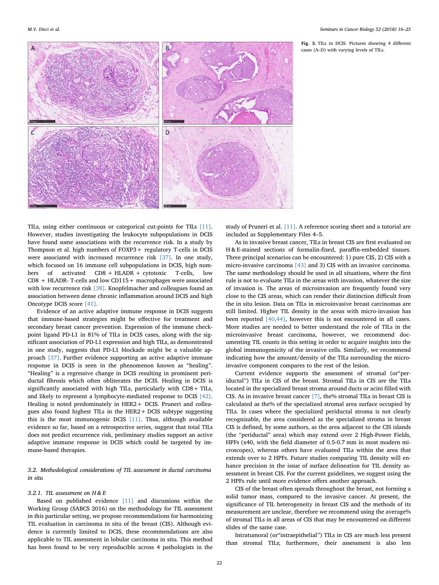Fig. 3. TILs in DCIS. Pictures showing 4 different cases (A–D) with varying levels of TILs.



TILs, using either continuous or categorical cut-points for TILs [11]. However, studies investigating the leukocyte subpopulations in DCIS have found some associations with the recurrence risk. In a study by Thompson et al. high numbers of FOXP3+ regulatory T-cells in DCIS were associated with increased recurrence risk [37]. In one study, which focused on 16 immune cell subpopulations in DCIS, high numbers of activated CD8 + HLADR + cytotoxic T-cells, low CD8 + HLADR- T-cells and low CD115+ macrophages were associated with low recurrence risk [38]. Knopfelmacher and colleagues found an association between dense chronic inflammation around DCIS and high Oncotype DCIS score [41].

Evidence of an active adaptive immune response in DCIS suggests that immune-based strategies might be effective for treatment and secondary breast cancer prevention. Expression of the immune checkpoint ligand PD-L1 in 81% of TILs in DCIS cases, along with the significant association of PD-L1 expression and high TILs, as demonstrated in one study, suggests that PD-L1 blockade might be a valuable approach [37]. Further evidence supporting an active adaptive immune response in DCIS is seen in the phenomenon known as "healing". "Healing" is a regressive change in DCIS resulting in prominent periductal fibrosis which often obliterates the DCIS. Healing in DCIS is significantly associated with high TILs, particularly with CD8+ TILs, and likely to represent a lymphocyte-mediated response to DCIS [42]. Healing is noted predominately in HER2+ DCIS. Pruneri and colleagues also found highest TILs in the HER2+ DCIS subtype suggesting this is the most immunogenic DCIS [11]. Thus, although available evidence so far, based on a retrospective series, suggest that total TILs does not predict recurrence risk, preliminary studies support an active adaptive immune response in DCIS which could be targeted by immune-based therapies.

# 3.2. Methodological considerations of TIL assessment in ductal carcinoma in situ

#### 3.2.1. TIL assessment on H & E

Based on published evidence [11] and discussions within the Working Group (SABCS 2016) on the methodology for TIL assessment in this particular setting, we propose recommendations for harmonizing TIL evaluation in carcinoma in situ of the breast (CIS). Although evidence is currently limited to DCIS, these recommendations are also applicable to TIL assessment in lobular carcinoma in situ. This method has been found to be very reproducible across 4 pathologists in the study of Pruneri et al. [11]. A reference scoring sheet and a tutorial are included as Supplementary Files 4–5.

As in invasive breast cancer, TILs in breast CIS are first evaluated on H & E-stained sections of formalin-fixed, paraffin-embedded tissues. Three principal scenarios can be encountered: 1) pure CIS, 2) CIS with a micro-invasive carcinoma [43] and 3) CIS with an invasive carcinoma. The same methodology should be used in all situations, where the first rule is not to evaluate TILs in the areas with invasion, whatever the size of invasion is. The areas of microinvasion are frequently found very close to the CIS areas, which can render their distinction difficult from the in situ lesion. Data on TILs in microinvasive breast carcinomas are still limited. Higher TIL density in the areas with micro-invasion has been reported [40,44], however this is not encountered in all cases. More studies are needed to better understand the role of TILs in the microinvasive breast carcinoma, however, we recommend documenting TIL counts in this setting in order to acquire insights into the global immunogenicity of the invasive cells. Similarly, we recommend indicating how the amount/density of the TILs surrounding the microinvasive component compares to the rest of the lesion.

Current evidence supports the assessment of stromal (or"periductal") TILs in CIS of the breast. Stromal TILs in CIS are the TILs located in the specialized breast stroma around ducts or acini filled with CIS. As in invasive breast cancer [7], the% stromal TILs in breast CIS is calculated as the% of the specialized stromal area surface occupied by TILs. In cases where the specialized periductal stroma is not clearly recognizable, the area considered as the specialized stroma in breast CIS is defined, by some authors, as the area adjacent to the CIS islands (the "periductal" area) which may extend over 2 High-Power Fields, HPFs (x40, with the field diameter of 0.5-0.7 mm in most modern microscopes), whereas others have evaluated TILs within the area that extends over to 2 HPFs. Future studies comparing TIL density will enhance precision in the issue of surface delineation for TIL density assessment in breast CIS. For the current guidelines, we suggest using the 2 HPFs rule until more evidence offers another approach.

CIS of the breast often spreads throughout the breast, not forming a solid tumor mass, compared to the invasive cancer. At present, the significance of TIL heterogeneity in breast CIS and the methods of its measurement are unclear, therefore we recommend using the average% of stromal TILs in all areas of CIS that may be encountered on different slides of the same case.

Intratumoral (or"intraepithelial") TILs in CIS are much less present than stromal TILs; furthermore, their assessment is also less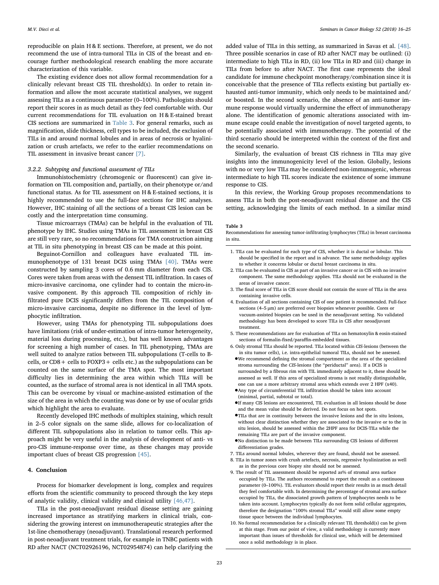reproducible on plain H & E sections. Therefore, at present, we do not recommend the use of intra-tumoral TILs in CIS of the breast and encourage further methodological research enabling the more accurate characterization of this variable.

The existing evidence does not allow formal recommendation for a clinically relevant breast CIS TIL threshold(s). In order to retain information and allow the most accurate statistical analyses, we suggest assessing TILs as a continuous parameter (0–100%). Pathologists should report their scores in as much detail as they feel comfortable with. Our current recommendations for TIL evaluation on H & E-stained breast CIS sections are summarized in Table 3. For general remarks, such as magnification, slide thickness, cell types to be included, the exclusion of TILs in and around normal lobules and in areas of necrosis or hyalinization or crush artefacts, we refer to the earlier recommendations on TIL assessment in invasive breast cancer [7].

### 3.2.2. Subtyping and functional assessment of TILs

Immunohistochemistry (chromogenic or fluorescent) can give information on TIL composition and, partially, on their phenotype or/and functional status. As for TIL assessment on H & E-stained sections, it is highly recommended to use the full-face sections for IHC analyses. However, IHC staining of all the sections of a breast CIS lesion can be costly and the interpretation time consuming.

Tissue microarrays (TMAs) can be helpful in the evaluation of TIL phenotype by IHC. Studies using TMAs in TIL assessment in breast CIS are still very rare, so no recommendations for TMA construction aiming at TIL in situ phenotyping in breast CIS can be made at this point.

Beguinot-Cornillon and colleagues have evaluated TIL immunophenotype of 131 breast DCIS using TMAs [40]. TMAs were constructed by sampling 3 cores of 0.6 mm diameter from each CIS. Cores were taken from areas with the densest TIL infiltration. In cases of micro-invasive carcinoma, one cylinder had to contain the micro-invasive component. By this approach TIL composition of richly infiltrated pure DCIS significantly differs from the TIL composition of micro-invasive carcinoma, despite no difference in the level of lymphocytic infiltration.

However, using TMAs for phenotyping TIL subpopulations does have limitations (risk of under-estimation of intra-tumor heterogeneity, material loss during processing, etc.), but has well known advantages for screening a high number of cases. In TIL phenotyping, TMAs are well suited to analyze ratios between TIL subpopulations (T-cells to Bcells, or  $CD8 +$  cells to  $FOXP3 +$  cells etc.) as the subpopulations can be counted on the same surface of the TMA spot. The most important difficulty lies in determining the area within which TILs will be counted, as the surface of stromal area is not identical in all TMA spots. This can be overcome by visual or machine-assisted estimation of the size of the area in which the counting was done or by use of ocular grids which highlight the area to evaluate.

Recently developed IHC methods of multiplex staining, which result in 2–5 color signals on the same slide, allows for co-localization of different TIL subpopulations also in relation to tumor cells. This approach might be very useful in the analysis of development of anti- vs pro-CIS immune-response over time, as these changes may provide important clues of breast CIS progression [45].

#### 4. Conclusion

Process for biomarker development is long, complex and requires efforts from the scientific community to proceed through the key steps of analytic validity, clinical validity and clinical utility [46,47].

TILs in the post-neoadjuvant residual disease setting are gaining increased importance as stratifying markers in clinical trials, considering the growing interest on immunotherapeutic strategies after the 1st-line chemotherapy (neoadjuvant). Translational research performed in post-neoadjuvant treatment trials, for example in TNBC patients with RD after NACT (NCT02926196, NCT02954874) can help clarifying the

added value of TILs in this setting, as summarized in Savas et al. [48]. Three possible scenarios in case of RD after NACT may be outlined: (i) intermediate to high TILs in RD, (ii) low TILs in RD and (iii) change in TILs from before to after NACT. The first case represents the ideal candidate for immune checkpoint monotherapy/combination since it is conceivable that the presence of TILs reflects existing but partially exhausted anti-tumor immunity, which only needs to be maintained and/ or boosted. In the second scenario, the absence of an anti-tumor immune response would virtually undermine the effect of immunotherapy alone. The identification of genomic alterations associated with immune escape could enable the investigation of novel targeted agents, to be potentially associated with immunotherapy. The potential of the third scenario should be interpreted within the context of the first and the second scenario.

Similarly, the evaluation of breast CIS richness in TILs may give insights into the immunogenicity level of the lesion. Globally, lesions with no or very low TILs may be considered non-immunogenic, whereas intermediate to high TIL scores indicate the existence of some immune response to CIS.

In this review, the Working Group proposes recommendations to assess TILs in both the post-neoadjuvant residual disease and the CIS setting, acknowledging the limits of each method. In a similar mind

#### Table 3

Recommendations for assessing tumor-infiltrating lymphocytes (TILs) in breast carcinoma in situ.

- 1. TILs can be evaluated for each type of CIS, whether it is ductal or lobular. This should be specified in the report and in advance. The same methodology applies to whether it concerns lobular or ductal breast carcinoma in situ.
- 2. TILs can be evaluated in CIS as part of an invasive cancer or in CIS with no invasive component. The same methodology applies. TILs should not be evaluated in the areas of invasive cancer.
- 3. The final score of TILs in CIS score should not contain the score of TILs in the area containing invasive cells.
- 4. Evaluation of all sections containing CIS of one patient is recommended. Full-face sections (4–5 μm) are preferred over biopsies whenever possible. Cores or vacuum-assisted biopsies can be used in the neoadjuvant setting. No validated methodology has been developed to score TILs in CIS after neoadjuvant treatment.
- 5. These recommendations are for evaluation of TILs on hematoxylin & eosin-stained sections of formalin-fixed/paraffin-embedded tissues.
- 6. Only stromal TILs should be reported. TILs located within CIS-lesions (between the in situ tumor cells), i.e. intra-epithelial tumoral TILs, should not be assessed.
- •We recommend defining the stromal compartment as the area of the specialized stroma surrounding the CIS-lesions (the "periductal" area). If a DCIS is surrounded by a fibrous rim with TIL immediately adjacent to it, these should be assessed as well. If this area of specialized stroma is not readily distinguishable, one can use a more arbitrary stromal area which extends over 2 HPF (x40).
- •Any type of circumferential TIL infiltration should be taken into account (minimal, partial, subtotal or total).
- •If many CIS lesions are encountered, TIL evaluation in all lesions should be done and the mean value should be derived. Do not focus on hot spots.
- •TILs that are in continuity between the invasive lesions and the in situ lesions, without clear distinction whether they are associated to the invasive or to the in situ lesion, should be assessed within the 2HPF area for DCIS-TILs while the remaining TILs are part of the invasive component.
- •No distinction to be made between TILs surrounding CIS lesions of different differentiation grades.
- 7. TILs around normal lobules, wherever they are found, should not be assessed.
- 8. TILs in tumor zones with crush artefacts, necrosis, regressive hyalinization as well as in the previous core biopsy site should not be assessed.
- 9. The result of TIL assessment should be reported as% of stromal area surface occupied by TILs. The authors recommend to report the result as a continuous parameter (0–100%). TIL evaluators should report their results in as much detail they feel comfortable with. In determining the percentage of stromal area surface occupied by TILs, the dissociated growth pattern of lymphocytes needs to be taken into account. Lymphocytes typically do not form solid cellular aggregates, therefore the designation "100% stromal TILs" would still allow some empty tissue space between the individual lymphocytes.
- 10. No formal recommendation for a clinically relevant TIL threshold(s) can be given at this stage. From our point of view, a valid methodology is currently more important than issues of thresholds for clinical use, which will be determined once a solid methodology is in place.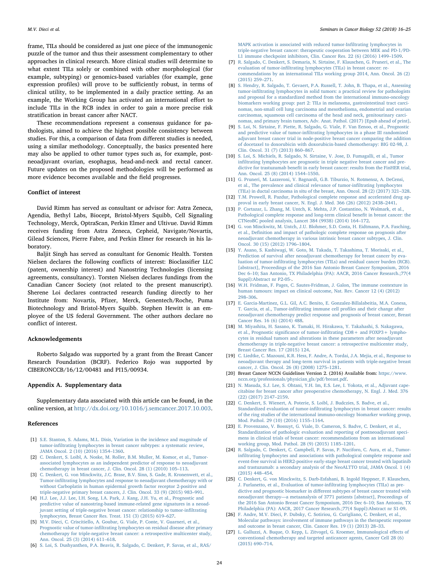frame, TILs should be considered as just one piece of the immunogenic puzzle of the tumor and thus their assessment complementary to other approaches in clinical research. More clinical studies will determine to what extent TILs solely or combined with other morphological (for example, subtyping) or genomics-based variables (for example, gene expression profiles) will prove to be sufficiently robust, in terms of clinical utility, to be implemented in a daily practice setting. As an example, the Working Group has activated an international effort to include TILs in the RCB index in order to gain a more precise risk stratification in breast cancer after NACT.

These recommendations represent a consensus guidance for pathologists, aimed to achieve the highest possible consistency between studies. For this, a comparison of data from different studies is needed, using a similar methodology. Conceptually, the basics presented here may also be applied to other tumor types such as, for example, postneoadjuvant ovarian, esophagus, head-and-neck and rectal cancer. Future updates on the proposed methodologies will be performed as more evidence becomes available and the field progresses.

#### Conflict of interest

David Rimm has served as consultant or advisor for: Astra Zeneca, Agendia, Bethyl Labs, Biocept, Bristol-Myers Squibb, Cell Signaling Technology, Merck, OptraScan, Perkin Elmer and Ultivue. David Rimm receives funding from Astra Zeneca, Cepheid, Navigate/Novartis, Gilead Sciences, Pierre Fabre, and Perkin Elmer for research in his laboratory.

Baljit Singh has served as consultant for Genomic Health. Torsten Nielsen declares the following conflicts of interest: Bioclassifier LLC (patent, ownership interest) and Nanostring Technologies (licensing agreements, consultancy). Torsten Nielsen declares fundings from the Canadian Cancer Society (not related to the present manuscript). Sherene Loi declares contracted research funding directly to her Institute from: Novartis, Pfizer, Merck, Genentech/Roche, Puma Biotechnology and Bristol-Myers Squibb. Stephen Hewitt is an employee of the US federal Government. The other authors declare no conflict of interest.

### Acknowledgements

Roberto Salgado was supported by a grant from the Breast Cancer Research Foundation (BCRF). Federico Rojo was supported by CIBERONCCB/16/12/00481 and PI15/00934.

#### Appendix A. Supplementary data

Supplementary data associated with this article can be found, in the online version, at <http://dx.doi.org/10.1016/j.semcancer.2017.10.003>.

#### References

- [1] [S.E. Stanton, S. Adams, M.L. Disis, Variation in the incidence and magnitude of](http://refhub.elsevier.com/S1044-579X(17)30217-1/sbref0005) tumor-infi[ltrating lymphocytes in breast cancer subtypes: a systematic review,](http://refhub.elsevier.com/S1044-579X(17)30217-1/sbref0005) [JAMA Oncol. 2 \(10\) \(2016\) 1354](http://refhub.elsevier.com/S1044-579X(17)30217-1/sbref0005)–1360.
- [2] [C. Denkert, S. Loibl, A. Noske, M. Roller, B.M. Muller, M. Komor, et al., Tumor](http://refhub.elsevier.com/S1044-579X(17)30217-1/sbref0010)[associated lymphocytes as an independent predictor of response to neoadjuvant](http://refhub.elsevier.com/S1044-579X(17)30217-1/sbref0010) [chemotherapy in breast cancer, J. Clin. Oncol. 28 \(1\) \(2010\) 105](http://refhub.elsevier.com/S1044-579X(17)30217-1/sbref0010)–113.
- [3] [C. Denkert, G. von Minckwitz, J.C. Brase, B.V. Sinn, S. Gade, R. Kronenwett, et al.,](http://refhub.elsevier.com/S1044-579X(17)30217-1/sbref0015) Tumor-infi[ltrating lymphocytes and response to neoadjuvant chemotherapy with or](http://refhub.elsevier.com/S1044-579X(17)30217-1/sbref0015) [without Carboplatin in human epidermal growth factor receptor 2-positive and](http://refhub.elsevier.com/S1044-579X(17)30217-1/sbref0015) [triple-negative primary breast cancers, J. Clin. Oncol. 33 \(9\) \(2015\) 983](http://refhub.elsevier.com/S1044-579X(17)30217-1/sbref0015)–991.
- [4] [H.J. Lee, J.J. Lee, I.H. Song, I.A. Park, J. Kang, J.H. Yu, et al., Prognostic and](http://refhub.elsevier.com/S1044-579X(17)30217-1/sbref0020) [predictive value of nanostring-based immune-related gene signatures in a neoad](http://refhub.elsevier.com/S1044-579X(17)30217-1/sbref0020)[juvant setting of triple-negative breast cancer: relationship to tumor-in](http://refhub.elsevier.com/S1044-579X(17)30217-1/sbref0020)filtrating [lymphocytes, Breast Cancer Res. Treat. 151 \(3\) \(2015\) 619](http://refhub.elsevier.com/S1044-579X(17)30217-1/sbref0020)–627.
- [5] [M.V. Dieci, C. Criscitiello, A. Goubar, G. Viale, P. Conte, V. Guarneri, et al.,](http://refhub.elsevier.com/S1044-579X(17)30217-1/sbref0025) Prognostic value of tumor-infi[ltrating lymphocytes on residual disease after primary](http://refhub.elsevier.com/S1044-579X(17)30217-1/sbref0025) [chemotherapy for triple-negative breast cancer: a retrospective multicenter study,](http://refhub.elsevier.com/S1044-579X(17)30217-1/sbref0025) [Ann. Oncol. 25 \(3\) \(2014\) 611](http://refhub.elsevier.com/S1044-579X(17)30217-1/sbref0025)–618.
- [6] [S. Loi, S. Dushyanthen, P.A. Beavis, R. Salgado, C. Denkert, P. Savas, et al., RAS/](http://refhub.elsevier.com/S1044-579X(17)30217-1/sbref0030)

[MAPK activation is associated with reduced tumor-In](http://refhub.elsevier.com/S1044-579X(17)30217-1/sbref0030)filtrating lymphocytes in [triple-negative breast cancer: therapeutic cooperation between MEK and PD-1/PD-](http://refhub.elsevier.com/S1044-579X(17)30217-1/sbref0030)[L1 immune checkpoint inhibitors, Clin. Cancer Res. 22 \(6\) \(2016\) 1499](http://refhub.elsevier.com/S1044-579X(17)30217-1/sbref0030)–1509.

- [7] [R. Salgado, C. Denkert, S. Demaria, N. Sirtaine, F. Klauschen, G. Pruneri, et al., The](http://refhub.elsevier.com/S1044-579X(17)30217-1/sbref0035) evaluation of tumor-infi[ltrating lymphocytes \(TILs\) in breast cancer: re](http://refhub.elsevier.com/S1044-579X(17)30217-1/sbref0035)[commendations by an international TILs working group 2014, Ann. Oncol. 26 \(2\)](http://refhub.elsevier.com/S1044-579X(17)30217-1/sbref0035) [\(2015\) 259](http://refhub.elsevier.com/S1044-579X(17)30217-1/sbref0035)–271.
- [8] [S. Hendry, R. Salgado, T. Gevaert, P.A. Russell, T. John, B. Thapa, et al., Assessing](http://refhub.elsevier.com/S1044-579X(17)30217-1/sbref0040) tumor-infi[ltrating lymphocytes in solid tumors: a practical review for pathologists](http://refhub.elsevier.com/S1044-579X(17)30217-1/sbref0040) [and proposal for a standardized method from the international immuno-oncology](http://refhub.elsevier.com/S1044-579X(17)30217-1/sbref0040) [biomarkers working group: part 2: TILs in melanoma, gastrointestinal tract carci](http://refhub.elsevier.com/S1044-579X(17)30217-1/sbref0040)[nomas, non-small cell lung carcinoma and mesothelioma, endometrial and ovarian](http://refhub.elsevier.com/S1044-579X(17)30217-1/sbref0040) [carcinomas, squamous cell carcinoma of the head and neck, genitourinary carci](http://refhub.elsevier.com/S1044-579X(17)30217-1/sbref0040)[nomas, and primary brain tumors, Adv. Anat. Pathol. \(2017\) \[Epub ahead of print\].](http://refhub.elsevier.com/S1044-579X(17)30217-1/sbref0040)
- [9] [S. Loi, N. Sirtaine, F. Piette, R. Salgado, G. Viale, F. Van Eenoo, et al., Prognostic](http://refhub.elsevier.com/S1044-579X(17)30217-1/sbref0045) and predictive value of tumor-infi[ltrating lymphocytes in a phase III randomized](http://refhub.elsevier.com/S1044-579X(17)30217-1/sbref0045) [adjuvant breast cancer trial in node-positive breast cancer comparing the addition](http://refhub.elsevier.com/S1044-579X(17)30217-1/sbref0045) [of docetaxel to doxorubicin with doxorubicin-based chemotherapy: BIG 02-98, J.](http://refhub.elsevier.com/S1044-579X(17)30217-1/sbref0045) [Clin. Oncol. 31 \(7\) \(2013\) 860](http://refhub.elsevier.com/S1044-579X(17)30217-1/sbref0045)–867.
- [10] [S. Loi, S. Michiels, R. Salgado, N. Sirtaine, V. Jose, D. Fumagalli, et al., Tumor](http://refhub.elsevier.com/S1044-579X(17)30217-1/sbref0050) infi[ltrating lymphocytes are prognostic in triple negative breast cancer and pre](http://refhub.elsevier.com/S1044-579X(17)30217-1/sbref0050)dictive for trastuzumab benefi[t in early breast cancer: results from the FinHER trial,](http://refhub.elsevier.com/S1044-579X(17)30217-1/sbref0050) [Ann. Oncol. 25 \(8\) \(2014\) 1544](http://refhub.elsevier.com/S1044-579X(17)30217-1/sbref0050)–1550.
- [11] [G. Pruneri, M. Lazzeroni, V. Bagnardi, G.B. Tiburzio, N. Rotmensz, A. DeCensi,](http://refhub.elsevier.com/S1044-579X(17)30217-1/sbref0055) [et al., The prevalence and clinical relevance of tumor-in](http://refhub.elsevier.com/S1044-579X(17)30217-1/sbref0055)filtrating lymphocytes [\(TILs\) in ductal carcinoma in situ of the breast, Ann. Oncol. 28 \(2\) \(2017\) 321](http://refhub.elsevier.com/S1044-579X(17)30217-1/sbref0055)–328.
- [12] [T.M. Prowell, R. Pazdur, Pathological complete response and accelerated drug ap](http://refhub.elsevier.com/S1044-579X(17)30217-1/sbref0060)[proval in early breast cancer, N. Engl. J. Med. 366 \(26\) \(2012\) 2438](http://refhub.elsevier.com/S1044-579X(17)30217-1/sbref0060)–2441.
- [13] [P. Cortazar, L. Zhang, M. Untch, K. Mehta, J.P. Costantino, N. Wolmark, et al.,](http://refhub.elsevier.com/S1044-579X(17)30217-1/sbref0065) [Pathological complete response and long-term clinical bene](http://refhub.elsevier.com/S1044-579X(17)30217-1/sbref0065)fit in breast cancer: the [CTNeoBC pooled analysis, Lancet 384 \(9938\) \(2014\) 164](http://refhub.elsevier.com/S1044-579X(17)30217-1/sbref0065)–172.
- [14] [G. von Minckwitz, M. Untch, J.U. Blohmer, S.D. Costa, H. Eidtmann, P.A. Fasching,](http://refhub.elsevier.com/S1044-579X(17)30217-1/sbref0070) et al., Defi[nition and impact of pathologic complete response on prognosis after](http://refhub.elsevier.com/S1044-579X(17)30217-1/sbref0070) [neoadjuvant chemotherapy in various intrinsic breast cancer subtypes, J. Clin.](http://refhub.elsevier.com/S1044-579X(17)30217-1/sbref0070) [Oncol. 30 \(15\) \(2012\) 1796](http://refhub.elsevier.com/S1044-579X(17)30217-1/sbref0070)–1804.
- [15] [Y. Asano, S. Kashiwagi, W. Goto, M. Takada, T. Takashima, T. Morisaki, et al.,](http://refhub.elsevier.com/S1044-579X(17)30217-1/sbref0075) [Prediction of survival after neoadjuvant chemotherapy for breast cancer by eva](http://refhub.elsevier.com/S1044-579X(17)30217-1/sbref0075)luation of tumor-infi[ltrating lymphocytes \(TILs\) and residual cancer burden \(RCB\).](http://refhub.elsevier.com/S1044-579X(17)30217-1/sbref0075) [\[abstract\], Proceedings of the 2016 San Antonio Breast Cancer Symposium, 2016](http://refhub.elsevier.com/S1044-579X(17)30217-1/sbref0075) Dec 6–[10; San Antonio, TX Philadelphia \(PA\): AACR, 2016 Cancer Research.;77\(4](http://refhub.elsevier.com/S1044-579X(17)30217-1/sbref0075) [Suppl\):Abstract nr P2-05-.](http://refhub.elsevier.com/S1044-579X(17)30217-1/sbref0075)
- [16] [W.H. Fridman, F. Pages, C. Sautes-Fridman, J. Galon, The immune contexture in](http://refhub.elsevier.com/S1044-579X(17)30217-1/sbref0080) [human tumours: impact on clinical outcome, Nat. Rev. Cancer 12 \(4\) \(2012\)](http://refhub.elsevier.com/S1044-579X(17)30217-1/sbref0080) 298–[306.](http://refhub.elsevier.com/S1044-579X(17)30217-1/sbref0080)
- [17] [E. Garcia-Martinez, G.L. Gil, A.C. Benito, E. Gonzalez-Billalabeitia, M.A. Conesa,](http://refhub.elsevier.com/S1044-579X(17)30217-1/sbref0085) [T. Garcia, et al., Tumor-in](http://refhub.elsevier.com/S1044-579X(17)30217-1/sbref0085)filtrating immune cell profiles and their change after [neoadjuvant chemotherapy predict response and prognosis of breast cancer, Breast](http://refhub.elsevier.com/S1044-579X(17)30217-1/sbref0085) [Cancer Res. 16 \(6\) \(2014\) 488.](http://refhub.elsevier.com/S1044-579X(17)30217-1/sbref0085)
- [18] [M. Miyashita, H. Sasano, K. Tamaki, H. Hirakawa, Y. Takahashi, S. Nakagawa,](http://refhub.elsevier.com/S1044-579X(17)30217-1/sbref0090) et al., Prognostic significance of tumor-infi[ltrating CD8+ and FOXP3+ lympho](http://refhub.elsevier.com/S1044-579X(17)30217-1/sbref0090)[cytes in residual tumors and alterations in these parameters after neoadjuvant](http://refhub.elsevier.com/S1044-579X(17)30217-1/sbref0090) [chemotherapy in triple-negative breast cancer: a retrospective multicenter study,](http://refhub.elsevier.com/S1044-579X(17)30217-1/sbref0090) [Breast Cancer Res. 17 \(2015\) 124.](http://refhub.elsevier.com/S1044-579X(17)30217-1/sbref0090)
- [19] [C. Liedtke, C. Mazouni, K.R. Hess, F. Andre, A. Tordai, J.A. Mejia, et al., Response to](http://refhub.elsevier.com/S1044-579X(17)30217-1/sbref0095) [neoadjuvant therapy and long-term survival in patients with triple-negative breast](http://refhub.elsevier.com/S1044-579X(17)30217-1/sbref0095) [cancer, J. Clin. Oncol. 26 \(8\) \(2008\) 1275](http://refhub.elsevier.com/S1044-579X(17)30217-1/sbref0095)–1281.
- [20] Breast Cancer NCCN Guidelines Version 2. (2016) Available from: [https://www.](https://www.nccn.org/professionals/physician_gls/pdf/breast.pdf) [nccn.org/professionals/physician\\_gls/pdf/breast.pdf.](https://www.nccn.org/professionals/physician_gls/pdf/breast.pdf)
- [21] [N. Masuda, S.J. Lee, S. Ohtani, Y.H. Im, E.S. Lee, I. Yokota, et al., Adjuvant cape](http://refhub.elsevier.com/S1044-579X(17)30217-1/sbref0105)[citabine for breast cancer after preoperative chemotherapy, N. Engl. J. Med. 376](http://refhub.elsevier.com/S1044-579X(17)30217-1/sbref0105) [\(22\) \(2017\) 2147](http://refhub.elsevier.com/S1044-579X(17)30217-1/sbref0105)–2159.
- [22] [C. Denkert, S. Wienert, A. Poterie, S. Loibl, J. Budczies, S. Badve, et al.,](http://refhub.elsevier.com/S1044-579X(17)30217-1/sbref0110) Standardized evaluation of tumor-infi[ltrating lymphocytes in breast cancer: results](http://refhub.elsevier.com/S1044-579X(17)30217-1/sbref0110) [of the ring studies of the international immuno-oncology biomarker working group,](http://refhub.elsevier.com/S1044-579X(17)30217-1/sbref0110) [Mod. Pathol. 29 \(10\) \(2016\) 1155](http://refhub.elsevier.com/S1044-579X(17)30217-1/sbref0110)–1164.
- [23] [E. Provenzano, V. Bossuyt, G. Viale, D. Cameron, S. Badve, C. Denkert, et al.,](http://refhub.elsevier.com/S1044-579X(17)30217-1/sbref0115) [Standardization of pathologic evaluation and reporting of postneoadjuvant speci](http://refhub.elsevier.com/S1044-579X(17)30217-1/sbref0115)mens [in clinical trials of breast cancer: recommendations from an international](http://refhub.elsevier.com/S1044-579X(17)30217-1/sbref0115) [working group, Mod. Pathol. 28 \(9\) \(2015\) 1185](http://refhub.elsevier.com/S1044-579X(17)30217-1/sbref0115)–1201.
- [24] [R. Salgado, C. Denkert, C. Campbell, P. Savas, P. Nuciforo, C. Aura, et al., Tumor](http://refhub.elsevier.com/S1044-579X(17)30217-1/sbref0120)infi[ltrating lymphocytes and associations with pathological complete response and](http://refhub.elsevier.com/S1044-579X(17)30217-1/sbref0120) [event-free survival in HER2-positive early-stage breast cancer treated with lapatinib](http://refhub.elsevier.com/S1044-579X(17)30217-1/sbref0120) [and trastuzumab: a secondary analysis of the NeoALTTO trial, JAMA Oncol. 1 \(4\)](http://refhub.elsevier.com/S1044-579X(17)30217-1/sbref0120) [\(2015\) 448](http://refhub.elsevier.com/S1044-579X(17)30217-1/sbref0120)–454.
- [25] [C. Denkert, G. von Minckwitz, S. Darb-Esfahani, B. Ingold Heppner, F. Klauschen,](http://refhub.elsevier.com/S1044-579X(17)30217-1/sbref0125) [J. Furlanetto, et al., Evaluation of tumor-in](http://refhub.elsevier.com/S1044-579X(17)30217-1/sbref0125)filtrating lymphocytes (TILs) as predictive and prognostic biomarker in diff[erent subtypes of breast cancer treated with](http://refhub.elsevier.com/S1044-579X(17)30217-1/sbref0125) neoadjuvant therapy—[a metaanalysis of 3771 patients \[abstract\], Proceedings of](http://refhub.elsevier.com/S1044-579X(17)30217-1/sbref0125) [the 2016 San Antonio Breast Cancer Symposium, 2016 Dec 6](http://refhub.elsevier.com/S1044-579X(17)30217-1/sbref0125)–10; San Antonio, TX [Philadelphia \(PA\): AACR, 2017 Cancer Research.;77\(4 Suppl\):Abstract nr S1-09.](http://refhub.elsevier.com/S1044-579X(17)30217-1/sbref0125)
- [26] [F. Andre, M.V. Dieci, P. Dubsky, C. Sotiriou, G. Curigliano, C. Denkert, et al.,](http://refhub.elsevier.com/S1044-579X(17)30217-1/sbref0130) [Molecular pathways: involvement of immune pathways in the therapeutic response](http://refhub.elsevier.com/S1044-579X(17)30217-1/sbref0130) [and outcome in breast cancer, Clin. Cancer Res. 19 \(1\) \(2013\) 28](http://refhub.elsevier.com/S1044-579X(17)30217-1/sbref0130)–33.
- [27] [L. Galluzzi, A. Buque, O. Kepp, L. Zitvogel, G. Kroemer, Immunological e](http://refhub.elsevier.com/S1044-579X(17)30217-1/sbref0135)ffects of [conventional chemotherapy and targeted anticancer agents, Cancer Cell 28 \(6\)](http://refhub.elsevier.com/S1044-579X(17)30217-1/sbref0135) [\(2015\) 690](http://refhub.elsevier.com/S1044-579X(17)30217-1/sbref0135)–714.